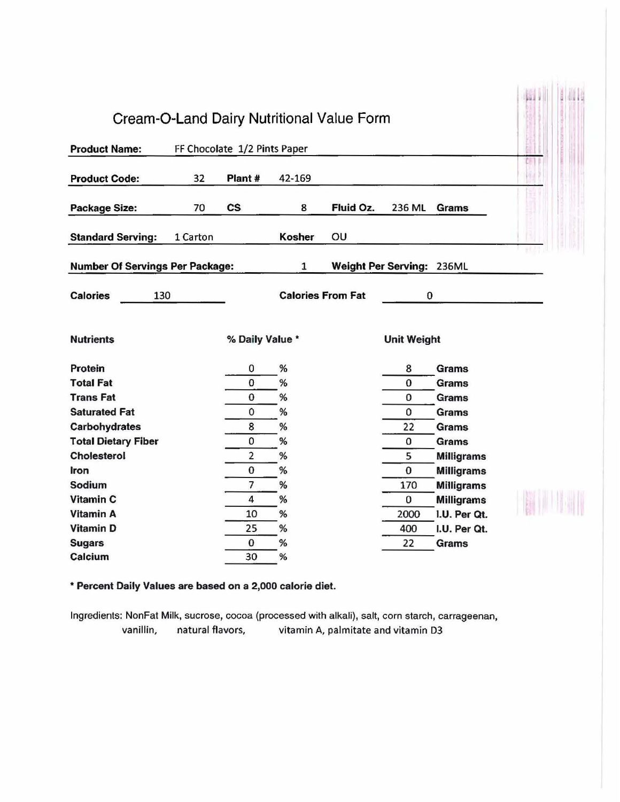|                                        |          |                              |                          | Cream-O-Land Dairy Nutritional Value Form |                           |                   |  |  |
|----------------------------------------|----------|------------------------------|--------------------------|-------------------------------------------|---------------------------|-------------------|--|--|
| <b>Product Name:</b>                   |          | FF Chocolate 1/2 Pints Paper |                          |                                           |                           |                   |  |  |
| <b>Product Code:</b>                   | 32       | Plant #                      | 42-169                   |                                           |                           |                   |  |  |
| <b>Package Size:</b>                   | 70       | $\mathsf{cs}$                | 8                        | Fluid Oz.                                 | 236 ML                    | <b>Grams</b>      |  |  |
| <b>Standard Serving:</b>               | 1 Carton |                              | Kosher                   | OU                                        |                           |                   |  |  |
| <b>Number Of Servings Per Package:</b> |          |                              | $\mathbf{1}$             |                                           | Weight Per Serving: 236ML |                   |  |  |
| <b>Calories</b><br>130                 |          |                              | <b>Calories From Fat</b> |                                           | 0                         |                   |  |  |
| <b>Nutrients</b>                       |          | % Daily Value *              |                          |                                           | <b>Unit Weight</b>        |                   |  |  |
| Protein                                |          | 0                            | %                        |                                           | 8                         | <b>Grams</b>      |  |  |
| <b>Total Fat</b>                       |          | 0                            | %                        |                                           | $\bf{0}$                  | <b>Grams</b>      |  |  |
| <b>Trans Fat</b>                       |          | $\bf{0}$                     | %                        |                                           | 0                         | <b>Grams</b>      |  |  |
| <b>Saturated Fat</b>                   |          | 0                            | %                        |                                           | 0                         | Grams             |  |  |
| <b>Carbohydrates</b>                   |          | 8                            | %                        |                                           | 22                        | <b>Grams</b>      |  |  |
| <b>Total Dietary Fiber</b>             |          | 0                            | %                        |                                           | 0                         | <b>Grams</b>      |  |  |
| <b>Cholesterol</b>                     |          | $\overline{2}$               | %                        |                                           | 5                         | <b>Milligrams</b> |  |  |
| <b>Iron</b>                            |          | 0                            | %                        |                                           | 0                         | <b>Milligrams</b> |  |  |
| Sodium                                 |          | $\overline{\phantom{a}}$     | %                        |                                           | 170                       | <b>Milligrams</b> |  |  |
| <b>Vitamin C</b>                       |          | 4                            | %                        |                                           | 0                         | <b>Milligrams</b> |  |  |
| <b>Vitamin A</b>                       |          | 10                           | %                        |                                           | 2000                      | I.U. Per Qt.      |  |  |
| <b>Vitamin D</b>                       |          | 25                           | %                        |                                           | 400                       | I.U. Per Qt.      |  |  |
| <b>Sugars</b>                          |          | $\bf{0}$                     | %                        |                                           | 22                        | Grams             |  |  |
| Calcium                                |          | 30                           | %                        |                                           |                           |                   |  |  |

\* Percent Daily Values are based on a 2,000 calorie diet.

Ingredients: NonFat Milk, sucrose, cocoa (processed with alkali), salt, corn starch, carrageenan, vanillin, natural flavors, vitamin A, palmitate and vitamin 03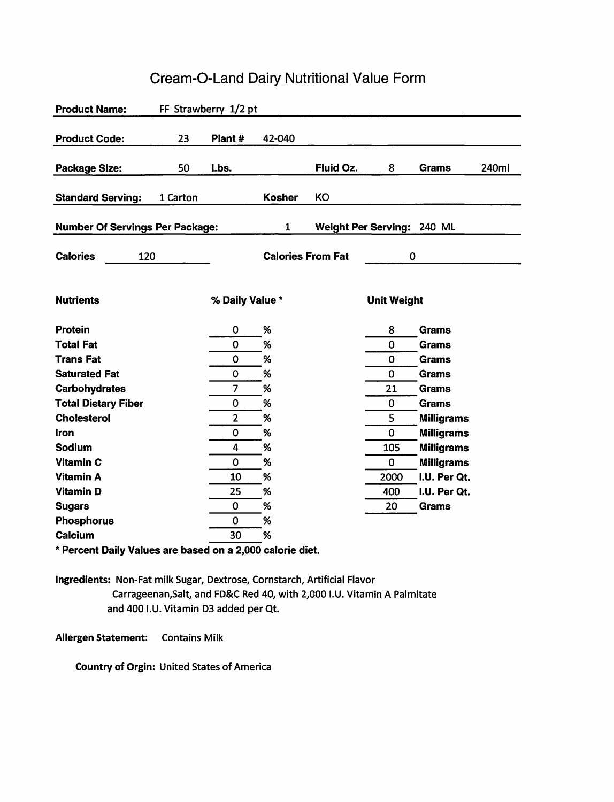## Product Name: FF Strawberry 1/2 pt Product Code: 23 Plant # 42-040 Package Size: 50 Lbs. Fluid Oz. 8 Grams Standard Serving: 1 Carton Kosher KO Number Of Servings Per Package: 1 Weight Per Serving: 240 ML Calories 120 Calories From Fat 0 Nutrients **of the Contract of the Contract Only Value \*** The Unit Weight Protein 0 % 8 Grams Total Fat 0 % 0 Grams Trans Fat 0 % 0 Grams Saturated Fat **18 Carry 19 Community 19th Community** 19th March 20 Grams Carbohydrates 7 % 21 Grams Total Dietary Fiber 0 % 0 Grams Cholesterol 2 % 5 Milligrams Iron 0 % 0 Milligrams Sodium 105 Milligrams 4 % 105 Milligrams Vitamin C **0** % 0 Milligrams Vitamin A 10 % 2000 I.U. Per Qt. Vitamin D 25 % 400 I.U. Per Qt. Sugars 0 % 20 Grams Phosphorus 0 % Calcium 30 % 240ml

## Cream-0-Land Dairy Nutritional Value Form

\* Percent Daily Values are based on a 2,000 calorie diet.

Ingredients: Non-Fat milk Sugar, Dextrose, Cornstarch, Artificial Flavor Carrageenan,Salt, and FD&C Red 40, with 2,000 I.U. Vitamin A Palmitate and 400 I.U. Vitamin 03 added per Qt.

Allergen Statement: Contains Milk

Country of Orgin: United States of America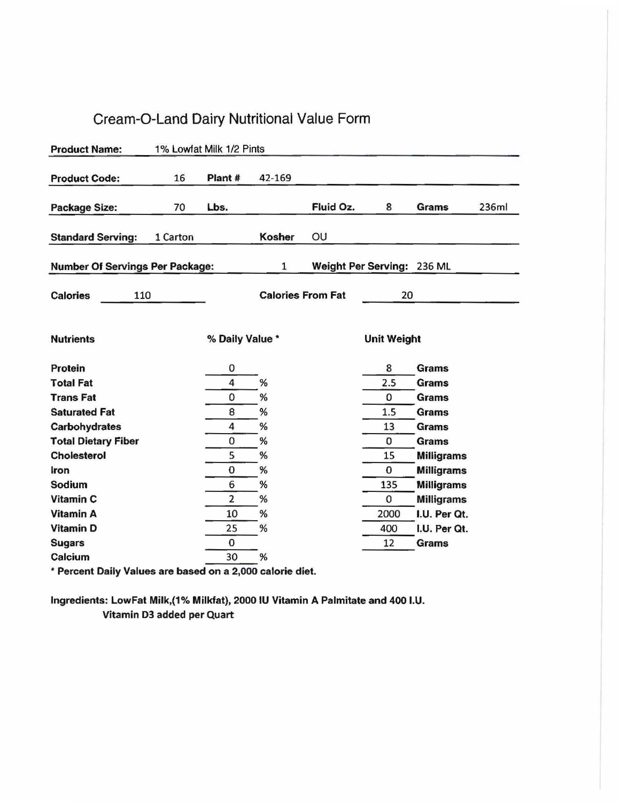## Cream-0-Land Dairy Nutritional Value Form

| <b>Product Name:</b>                   |          | 1% Lowfat Milk 1/2 Pints |              |                          |                            |                   |       |
|----------------------------------------|----------|--------------------------|--------------|--------------------------|----------------------------|-------------------|-------|
| <b>Product Code:</b>                   | 16       | Plant#                   | 42-169       |                          |                            |                   |       |
| <b>Package Size:</b>                   | 70       | Lbs.                     |              | Fluid Oz.                | 8                          | Grams             | 236ml |
| <b>Standard Serving:</b>               | 1 Carton |                          | Kosher       | OU                       |                            |                   |       |
| <b>Number Of Servings Per Package:</b> |          |                          | $\mathbf{1}$ |                          | Weight Per Serving: 236 ML |                   |       |
| <b>Calories</b><br>110                 |          |                          |              | <b>Calories From Fat</b> | 20                         |                   |       |
| <b>Nutrients</b>                       |          | % Daily Value *          |              |                          | <b>Unit Weight</b>         |                   |       |
| Protein                                |          | 0                        |              |                          | 8                          | <b>Grams</b>      |       |
| <b>Total Fat</b>                       |          | 4                        | %            |                          | 2.5                        | <b>Grams</b>      |       |
| <b>Trans Fat</b>                       |          | 0                        | %            |                          | 0                          | <b>Grams</b>      |       |
| <b>Saturated Fat</b>                   |          | 8                        | %            |                          | 1.5                        | <b>Grams</b>      |       |
| Carbohydrates                          |          | 4                        | %            |                          | 13                         | <b>Grams</b>      |       |
| <b>Total Dietary Fiber</b>             |          | 0                        | $\%$         |                          | 0                          | <b>Grams</b>      |       |
| <b>Cholesterol</b>                     |          | 5                        | %            |                          | 15                         | <b>Milligrams</b> |       |
| Iron                                   |          | 0                        | %            |                          | $\bf{0}$                   | <b>Milligrams</b> |       |
| Sodium                                 |          | 6                        | %            |                          | 135                        | <b>Milligrams</b> |       |
| Vitamin C                              |          | $\overline{2}$           | $\%$         |                          | 0                          | <b>Milligrams</b> |       |
| <b>Vitamin A</b>                       |          | 10                       | %            |                          | 2000                       | I.U. Per Qt.      |       |
| <b>Vitamin D</b>                       |          | 25                       | %            |                          | 400                        | I.U. Per Qt.      |       |
| <b>Sugars</b>                          |          | 0                        |              |                          | 12                         | Grams             |       |
| Calcium                                |          | 30                       | %            |                          |                            |                   |       |

" Percent Daily Values are based on a 2,000 calorie diet.

Ingredients: LowFat Milk,(1% Milkfat), 2000 IU Vitamin A Palmitate and 400 I.U. Vitamin 03 added per Quart